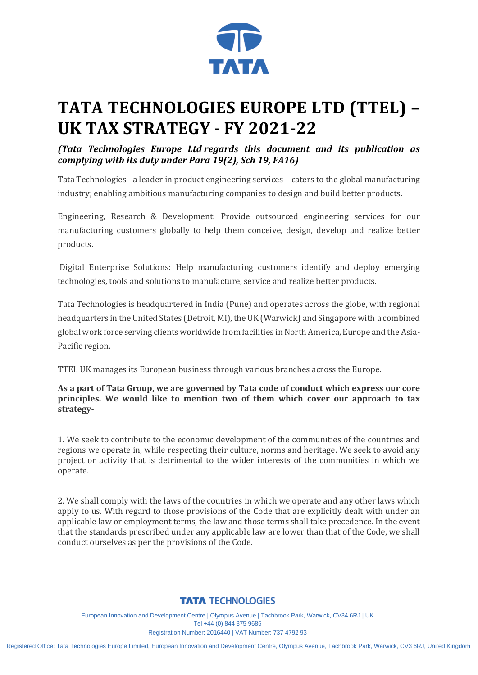

# **TATA TECHNOLOGIES EUROPE LTD (TTEL) – UK TAX STRATEGY - FY 2021-22**

*(Tata Technologies Europe Ltd regards this document and its publication as complying with its duty under Para 19(2), Sch 19, FA16)*

Tata Technologies - a leader in product engineering services – caters to the global manufacturing industry; enabling ambitious manufacturing companies to design and build better products.

Engineering, Research & Development: Provide outsourced engineering services for our manufacturing customers globally to help them conceive, design, develop and realize better products.

Digital Enterprise Solutions: Help manufacturing customers identify and deploy emerging technologies, tools and solutions to manufacture, service and realize better products.

Tata Technologies is headquartered in India (Pune) and operates across the globe, with regional headquarters in the United States (Detroit, MI), the UK (Warwick) and Singapore with a combined global work force serving clients worldwide from facilities in North America, Europe and the Asia-Pacific region.

TTEL UK manages its European business through various branches across the Europe.

**As a part of Tata Group, we are governed by Tata code of conduct which express our core principles. We would like to mention two of them which cover our approach to tax strategy-**

1. We seek to contribute to the economic development of the communities of the countries and regions we operate in, while respecting their culture, norms and heritage. We seek to avoid any project or activity that is detrimental to the wider interests of the communities in which we operate.

2. We shall comply with the laws of the countries in which we operate and any other laws which apply to us. With regard to those provisions of the Code that are explicitly dealt with under an applicable law or employment terms, the law and those terms shall take precedence. In the event that the standards prescribed under any applicable law are lower than that of the Code, we shall conduct ourselves as per the provisions of the Code.

## **TATA TECHNOLOGIES**

European Innovation and Development Centre | Olympus Avenue | Tachbrook Park, Warwick, CV34 6RJ | UK Tel +44 (0) 844 375 9685 Registration Number: 2016440 | VAT Number: 737 4792 93